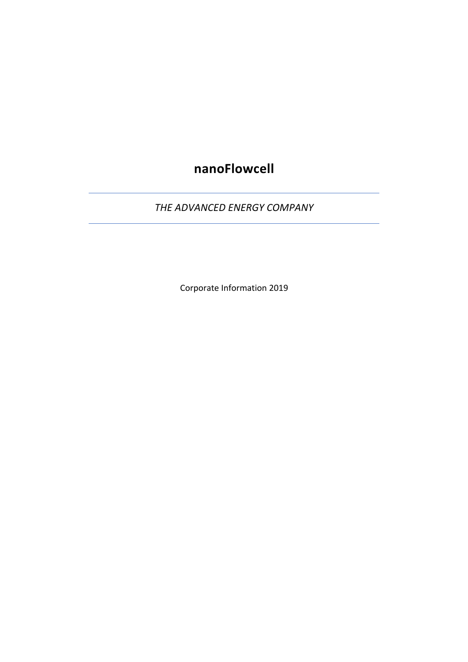# **nanoFlowcell**

*THE ADVANCED ENERGY COMPANY*

Corporate Information 2019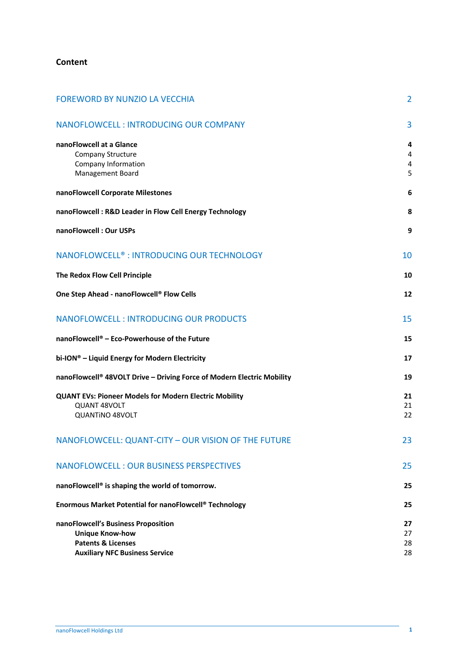## **Content**

| <b>FOREWORD BY NUNZIO LA VECCHIA</b>                                                                                                    | $\overline{2}$                |
|-----------------------------------------------------------------------------------------------------------------------------------------|-------------------------------|
| NANOFLOWCELL: INTRODUCING OUR COMPANY                                                                                                   | 3                             |
| nanoFlowcell at a Glance<br>Company Structure<br>Company Information<br>Management Board                                                | 4<br>$\overline{4}$<br>4<br>5 |
| nanoFlowcell Corporate Milestones                                                                                                       | 6                             |
| nanoFlowcell: R&D Leader in Flow Cell Energy Technology                                                                                 | 8                             |
| nanoFlowcell: Our USPs                                                                                                                  | 9                             |
| NANOFLOWCELL <sup>®</sup> : INTRODUCING OUR TECHNOLOGY                                                                                  | 10                            |
| The Redox Flow Cell Principle                                                                                                           | 10                            |
| One Step Ahead - nanoFlowcell® Flow Cells                                                                                               | 12                            |
| <b>NANOFLOWCELL: INTRODUCING OUR PRODUCTS</b>                                                                                           | 15                            |
| nanoFlowcell® - Eco-Powerhouse of the Future                                                                                            | 15                            |
| bi-ION® - Liquid Energy for Modern Electricity                                                                                          | 17                            |
| nanoFlowcell® 48VOLT Drive - Driving Force of Modern Electric Mobility                                                                  | 19                            |
| <b>QUANT EVs: Pioneer Models for Modern Electric Mobility</b><br>QUANT 48VOLT<br><b>QUANTINO 48VOLT</b>                                 | 21<br>21<br>22                |
| NANOFLOWCELL: QUANT-CITY - OUR VISION OF THE FUTURE                                                                                     | 23                            |
| <b>NANOFLOWCELL: OUR BUSINESS PERSPECTIVES</b>                                                                                          | 25                            |
| nanoFlowcell® is shaping the world of tomorrow.                                                                                         | 25                            |
| Enormous Market Potential for nanoFlowcell® Technology                                                                                  | 25                            |
| nanoFlowcell's Business Proposition<br><b>Unique Know-how</b><br><b>Patents &amp; Licenses</b><br><b>Auxiliary NFC Business Service</b> | 27<br>27<br>28<br>28          |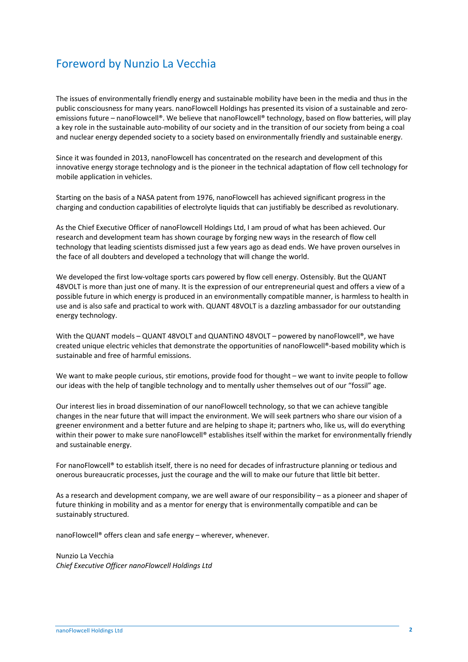# Foreword by Nunzio La Vecchia

The issues of environmentally friendly energy and sustainable mobility have been in the media and thus in the public consciousness for many years. nanoFlowcell Holdings has presented its vision of a sustainable and zeroemissions future – nanoFlowcell®. We believe that nanoFlowcell® technology, based on flow batteries, will play a key role in the sustainable auto-mobility of our society and in the transition of our society from being a coal and nuclear energy depended society to a society based on environmentally friendly and sustainable energy.

Since it was founded in 2013, nanoFlowcell has concentrated on the research and development of this innovative energy storage technology and is the pioneer in the technical adaptation of flow cell technology for mobile application in vehicles.

Starting on the basis of a NASA patent from 1976, nanoFlowcell has achieved significant progress in the charging and conduction capabilities of electrolyte liquids that can justifiably be described as revolutionary.

As the Chief Executive Officer of nanoFlowcell Holdings Ltd, I am proud of what has been achieved. Our research and development team has shown courage by forging new ways in the research of flow cell technology that leading scientists dismissed just a few years ago as dead ends. We have proven ourselves in the face of all doubters and developed a technology that will change the world.

We developed the first low-voltage sports cars powered by flow cell energy. Ostensibly. But the QUANT 48VOLT is more than just one of many. It is the expression of our entrepreneurial quest and offers a view of a possible future in which energy is produced in an environmentally compatible manner, is harmless to health in use and is also safe and practical to work with. QUANT 48VOLT is a dazzling ambassador for our outstanding energy technology.

With the QUANT models – QUANT 48VOLT and QUANTINO 48VOLT – powered by nanoFlowcell®, we have created unique electric vehicles that demonstrate the opportunities of nanoFlowcell®-based mobility which is sustainable and free of harmful emissions.

We want to make people curious, stir emotions, provide food for thought – we want to invite people to follow our ideas with the help of tangible technology and to mentally usher themselves out of our "fossil" age.

Our interest lies in broad dissemination of our nanoFlowcell technology, so that we can achieve tangible changes in the near future that will impact the environment. We will seek partners who share our vision of a greener environment and a better future and are helping to shape it; partners who, like us, will do everything within their power to make sure nanoFlowcell® establishes itself within the market for environmentally friendly and sustainable energy.

For nanoFlowcell® to establish itself, there is no need for decades of infrastructure planning or tedious and onerous bureaucratic processes, just the courage and the will to make our future that little bit better.

As a research and development company, we are well aware of our responsibility – as a pioneer and shaper of future thinking in mobility and as a mentor for energy that is environmentally compatible and can be sustainably structured.

nanoFlowcell® offers clean and safe energy – wherever, whenever.

Nunzio La Vecchia *Chief Executive Officer nanoFlowcell Holdings Ltd*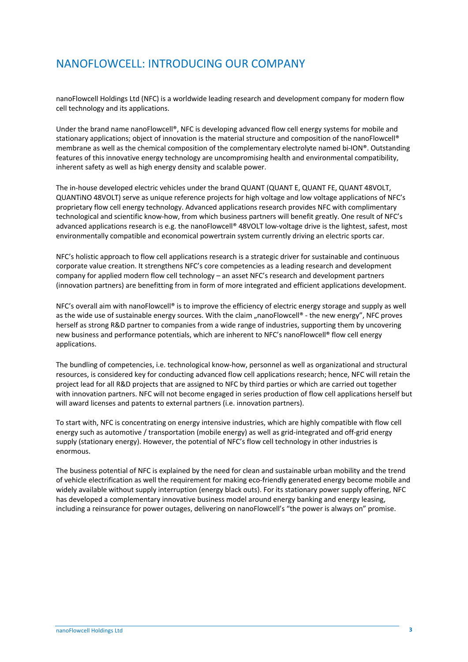# NANOFLOWCELL: INTRODUCING OUR COMPANY

nanoFlowcell Holdings Ltd (NFC) is a worldwide leading research and development company for modern flow cell technology and its applications.

Under the brand name nanoFlowcell®, NFC is developing advanced flow cell energy systems for mobile and stationary applications; object of innovation is the material structure and composition of the nanoFlowcell® membrane as well as the chemical composition of the complementary electrolyte named bi-ION®. Outstanding features of this innovative energy technology are uncompromising health and environmental compatibility, inherent safety as well as high energy density and scalable power.

The in-house developed electric vehicles under the brand QUANT (QUANT E, QUANT FE, QUANT 48VOLT, QUANTiNO 48VOLT) serve as unique reference projects for high voltage and low voltage applications of NFC's proprietary flow cell energy technology. Advanced applications research provides NFC with complimentary technological and scientific know-how, from which business partners will benefit greatly. One result of NFC's advanced applications research is e.g. the nanoFlowcell® 48VOLT low-voltage drive is the lightest, safest, most environmentally compatible and economical powertrain system currently driving an electric sports car.

NFC's holistic approach to flow cell applications research is a strategic driver for sustainable and continuous corporate value creation. It strengthens NFC's core competencies as a leading research and development company for applied modern flow cell technology – an asset NFC's research and development partners (innovation partners) are benefitting from in form of more integrated and efficient applications development.

NFC's overall aim with nanoFlowcell® is to improve the efficiency of electric energy storage and supply as well as the wide use of sustainable energy sources. With the claim "nanoFlowcell® - the new energy". NFC proves herself as strong R&D partner to companies from a wide range of industries, supporting them by uncovering new business and performance potentials, which are inherent to NFC's nanoFlowcell® flow cell energy applications.

The bundling of competencies, i.e. technological know-how, personnel as well as organizational and structural resources, is considered key for conducting advanced flow cell applications research; hence, NFC will retain the project lead for all R&D projects that are assigned to NFC by third parties or which are carried out together with innovation partners. NFC will not become engaged in series production of flow cell applications herself but will award licenses and patents to external partners (i.e. innovation partners).

To start with, NFC is concentrating on energy intensive industries, which are highly compatible with flow cell energy such as automotive / transportation (mobile energy) as well as grid-integrated and off-grid energy supply (stationary energy). However, the potential of NFC's flow cell technology in other industries is enormous.

The business potential of NFC is explained by the need for clean and sustainable urban mobility and the trend of vehicle electrification as well the requirement for making eco-friendly generated energy become mobile and widely available without supply interruption (energy black outs). For its stationary power supply offering, NFC has developed a complementary innovative business model around energy banking and energy leasing, including a reinsurance for power outages, delivering on nanoFlowcell's "the power is always on" promise.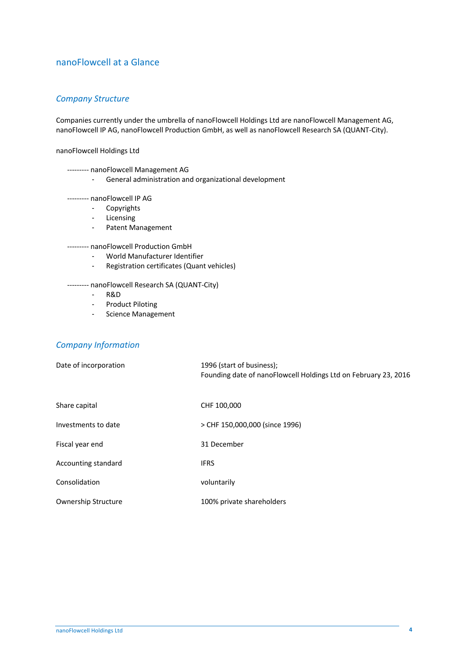# nanoFlowcell at a Glance

## *Company Structure*

Companies currently under the umbrella of nanoFlowcell Holdings Ltd are nanoFlowcell Management AG, nanoFlowcell IP AG, nanoFlowcell Production GmbH, as well as nanoFlowcell Research SA (QUANT-City).

nanoFlowcell Holdings Ltd

--------- nanoFlowcell Management AG

- General administration and organizational development

--------- nanoFlowcell IP AG

- Copyrights
- Licensing
- Patent Management

--------- nanoFlowcell Production GmbH

- World Manufacturer Identifier
- Registration certificates (Quant vehicles)

--------- nanoFlowcell Research SA (QUANT-City)

- R&D
- Product Piloting
- Science Management

# *Company Information*

| Date of incorporation | 1996 (start of business);<br>Founding date of nanoFlowcell Holdings Ltd on February 23, 2016 |
|-----------------------|----------------------------------------------------------------------------------------------|
| Share capital         | CHF 100,000                                                                                  |
| Investments to date   | > CHF 150,000,000 (since 1996)                                                               |
| Fiscal year end       | 31 December                                                                                  |
| Accounting standard   | <b>IFRS</b>                                                                                  |
| Consolidation         | voluntarily                                                                                  |
| Ownership Structure   | 100% private shareholders                                                                    |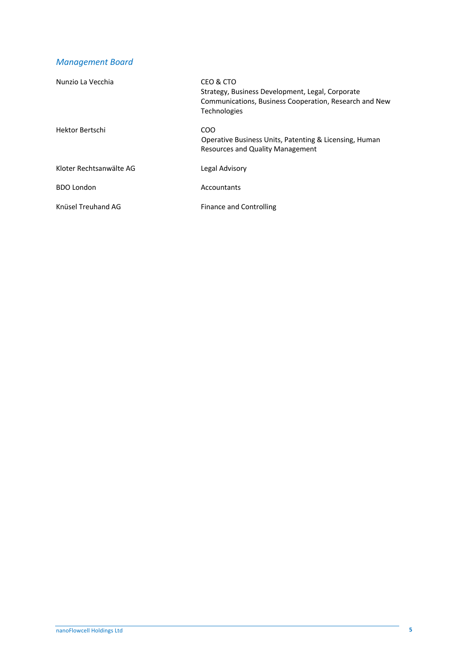# *Management Board*

| Nunzio La Vecchia       | CEO & CTO<br>Strategy, Business Development, Legal, Corporate<br>Communications, Business Cooperation, Research and New<br><b>Technologies</b> |
|-------------------------|------------------------------------------------------------------------------------------------------------------------------------------------|
| Hektor Bertschi         | COO<br>Operative Business Units, Patenting & Licensing, Human<br>Resources and Quality Management                                              |
| Kloter Rechtsanwälte AG | Legal Advisory                                                                                                                                 |
| <b>BDO London</b>       | Accountants                                                                                                                                    |
| Knüsel Treuhand AG      | <b>Finance and Controlling</b>                                                                                                                 |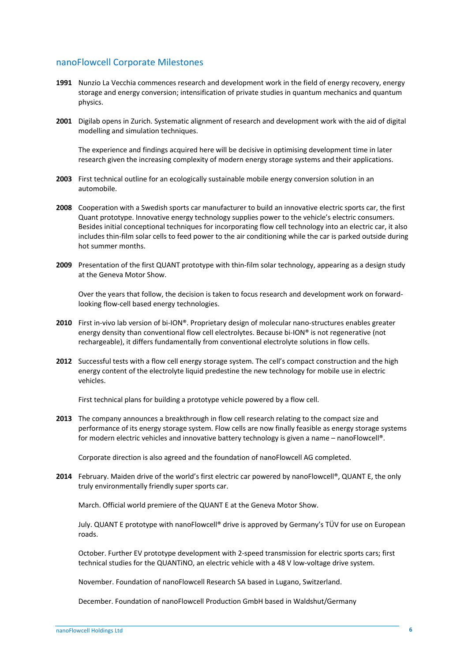## nanoFlowcell Corporate Milestones

- **1991** Nunzio La Vecchia commences research and development work in the field of energy recovery, energy storage and energy conversion; intensification of private studies in quantum mechanics and quantum physics.
- **2001** Digilab opens in Zurich. Systematic alignment of research and development work with the aid of digital modelling and simulation techniques.

The experience and findings acquired here will be decisive in optimising development time in later research given the increasing complexity of modern energy storage systems and their applications.

- **2003** First technical outline for an ecologically sustainable mobile energy conversion solution in an automobile.
- **2008** Cooperation with a Swedish sports car manufacturer to build an innovative electric sports car, the first Quant prototype. Innovative energy technology supplies power to the vehicle's electric consumers. Besides initial conceptional techniques for incorporating flow cell technology into an electric car, it also includes thin-film solar cells to feed power to the air conditioning while the car is parked outside during hot summer months.
- **2009** Presentation of the first QUANT prototype with thin-film solar technology, appearing as a design study at the Geneva Motor Show.

Over the years that follow, the decision is taken to focus research and development work on forwardlooking flow-cell based energy technologies.

- **2010** First in-vivo lab version of bi-ION®. Proprietary design of molecular nano-structures enables greater energy density than conventional flow cell electrolytes. Because bi-ION® is not regenerative (not rechargeable), it differs fundamentally from conventional electrolyte solutions in flow cells.
- **2012** Successful tests with a flow cell energy storage system. The cell's compact construction and the high energy content of the electrolyte liquid predestine the new technology for mobile use in electric vehicles.

First technical plans for building a prototype vehicle powered by a flow cell.

**2013** The company announces a breakthrough in flow cell research relating to the compact size and performance of its energy storage system. Flow cells are now finally feasible as energy storage systems for modern electric vehicles and innovative battery technology is given a name – nanoFlowcell®.

Corporate direction is also agreed and the foundation of nanoFlowcell AG completed.

**2014** February. Maiden drive of the world's first electric car powered by nanoFlowcell®, QUANT E, the only truly environmentally friendly super sports car.

March. Official world premiere of the QUANT E at the Geneva Motor Show.

July. QUANT E prototype with nanoFlowcell® drive is approved by Germany's TÜV for use on European roads.

October. Further EV prototype development with 2-speed transmission for electric sports cars; first technical studies for the QUANTiNO, an electric vehicle with a 48 V low-voltage drive system.

November. Foundation of nanoFlowcell Research SA based in Lugano, Switzerland.

December. Foundation of nanoFlowcell Production GmbH based in Waldshut/Germany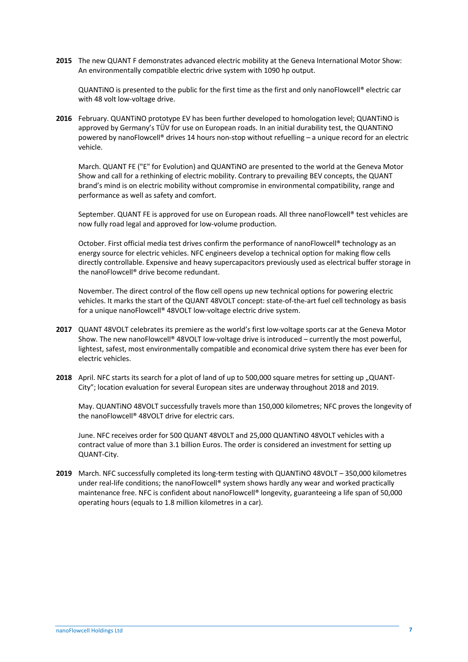**2015** The new QUANT F demonstrates advanced electric mobility at the Geneva International Motor Show: An environmentally compatible electric drive system with 1090 hp output.

QUANTiNO is presented to the public for the first time as the first and only nanoFlowcell® electric car with 48 volt low-voltage drive.

**2016** February. QUANTiNO prototype EV has been further developed to homologation level; QUANTiNO is approved by Germany's TÜV for use on European roads. In an initial durability test, the QUANTiNO powered by nanoFlowcell® drives 14 hours non-stop without refuelling – a unique record for an electric vehicle.

March. QUANT FE ("E" for Evolution) and QUANTiNO are presented to the world at the Geneva Motor Show and call for a rethinking of electric mobility. Contrary to prevailing BEV concepts, the QUANT brand's mind is on electric mobility without compromise in environmental compatibility, range and performance as well as safety and comfort.

September. QUANT FE is approved for use on European roads. All three nanoFlowcell® test vehicles are now fully road legal and approved for low-volume production.

October. First official media test drives confirm the performance of nanoFlowcell® technology as an energy source for electric vehicles. NFC engineers develop a technical option for making flow cells directly controllable. Expensive and heavy supercapacitors previously used as electrical buffer storage in the nanoFlowcell® drive become redundant.

November. The direct control of the flow cell opens up new technical options for powering electric vehicles. It marks the start of the QUANT 48VOLT concept: state-of-the-art fuel cell technology as basis for a unique nanoFlowcell® 48VOLT low-voltage electric drive system.

- **2017** QUANT 48VOLT celebrates its premiere as the world's first low-voltage sports car at the Geneva Motor Show. The new nanoFlowcell® 48VOLT low-voltage drive is introduced – currently the most powerful, lightest, safest, most environmentally compatible and economical drive system there has ever been for electric vehicles.
- **2018** April. NFC starts its search for a plot of land of up to 500,000 square metres for setting up "QUANT-City"; location evaluation for several European sites are underway throughout 2018 and 2019.

May. QUANTiNO 48VOLT successfully travels more than 150,000 kilometres; NFC proves the longevity of the nanoFlowcell® 48VOLT drive for electric cars.

June. NFC receives order for 500 QUANT 48VOLT and 25,000 QUANTiNO 48VOLT vehicles with a contract value of more than 3.1 billion Euros. The order is considered an investment for setting up QUANT-City.

**2019** March. NFC successfully completed its long-term testing with QUANTiNO 48VOLT – 350,000 kilometres under real-life conditions; the nanoFlowcell® system shows hardly any wear and worked practically maintenance free. NFC is confident about nanoFlowcell® longevity, guaranteeing a life span of 50,000 operating hours (equals to 1.8 million kilometres in a car).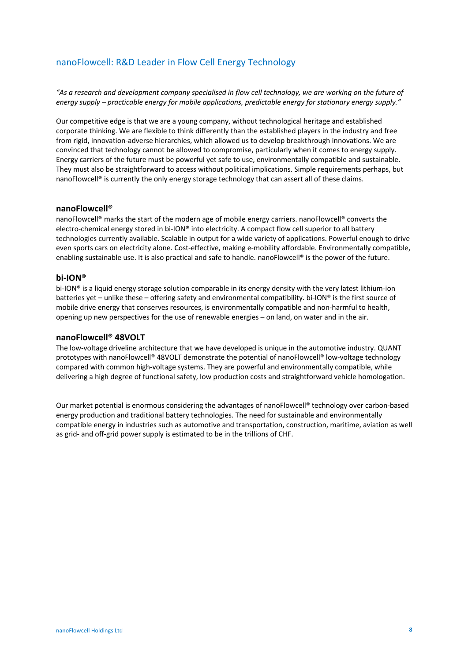# nanoFlowcell: R&D Leader in Flow Cell Energy Technology

*"As a research and development company specialised in flow cell technology, we are working on the future of energy supply – practicable energy for mobile applications, predictable energy for stationary energy supply."*

Our competitive edge is that we are a young company, without technological heritage and established corporate thinking. We are flexible to think differently than the established players in the industry and free from rigid, innovation-adverse hierarchies, which allowed us to develop breakthrough innovations. We are convinced that technology cannot be allowed to compromise, particularly when it comes to energy supply. Energy carriers of the future must be powerful yet safe to use, environmentally compatible and sustainable. They must also be straightforward to access without political implications. Simple requirements perhaps, but nanoFlowcell<sup>®</sup> is currently the only energy storage technology that can assert all of these claims.

### **nanoFlowcell®**

nanoFlowcell® marks the start of the modern age of mobile energy carriers. nanoFlowcell® converts the electro-chemical energy stored in bi-ION® into electricity. A compact flow cell superior to all battery technologies currently available. Scalable in output for a wide variety of applications. Powerful enough to drive even sports cars on electricity alone. Cost-effective, making e-mobility affordable. Environmentally compatible, enabling sustainable use. It is also practical and safe to handle. nanoFlowcell® is the power of the future.

### **bi-ION®**

bi-ION® is a liquid energy storage solution comparable in its energy density with the very latest lithium-ion batteries yet – unlike these – offering safety and environmental compatibility. bi-ION® is the first source of mobile drive energy that conserves resources, is environmentally compatible and non-harmful to health, opening up new perspectives for the use of renewable energies – on land, on water and in the air.

## **nanoFlowcell® 48VOLT**

The low-voltage driveline architecture that we have developed is unique in the automotive industry. QUANT prototypes with nanoFlowcell® 48VOLT demonstrate the potential of nanoFlowcell® low-voltage technology compared with common high-voltage systems. They are powerful and environmentally compatible, while delivering a high degree of functional safety, low production costs and straightforward vehicle homologation.

Our market potential is enormous considering the advantages of nanoFlowcell® technology over carbon-based energy production and traditional battery technologies. The need for sustainable and environmentally compatible energy in industries such as automotive and transportation, construction, maritime, aviation as well as grid- and off-grid power supply is estimated to be in the trillions of CHF.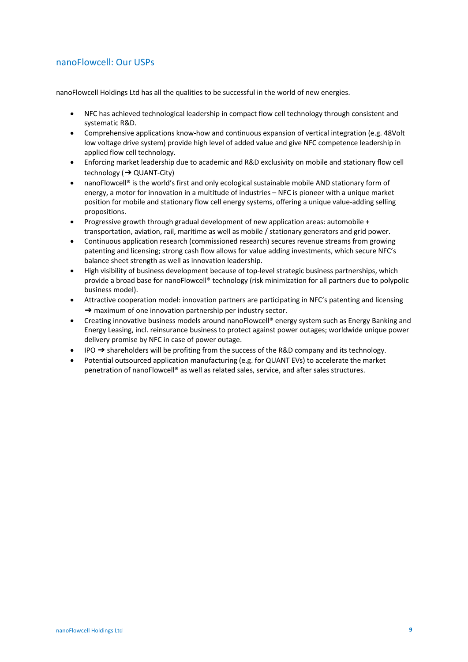# nanoFlowcell: Our USPs

nanoFlowcell Holdings Ltd has all the qualities to be successful in the world of new energies.

- NFC has achieved technological leadership in compact flow cell technology through consistent and systematic R&D.
- Comprehensive applications know-how and continuous expansion of vertical integration (e.g. 48Volt low voltage drive system) provide high level of added value and give NFC competence leadership in applied flow cell technology.
- Enforcing market leadership due to academic and R&D exclusivity on mobile and stationary flow cell technology (➔ QUANT-City)
- nanoFlowcell® is the world's first and only ecological sustainable mobile AND stationary form of energy, a motor for innovation in a multitude of industries – NFC is pioneer with a unique market position for mobile and stationary flow cell energy systems, offering a unique value-adding selling propositions.
- Progressive growth through gradual development of new application areas: automobile + transportation, aviation, rail, maritime as well as mobile / stationary generators and grid power.
- Continuous application research (commissioned research) secures revenue streams from growing patenting and licensing; strong cash flow allows for value adding investments, which secure NFC's balance sheet strength as well as innovation leadership.
- High visibility of business development because of top-level strategic business partnerships, which provide a broad base for nanoFlowcell® technology (risk minimization for all partners due to polypolic business model).
- Attractive cooperation model: innovation partners are participating in NFC's patenting and licensing  $\rightarrow$  maximum of one innovation partnership per industry sector.
- Creating innovative business models around nanoFlowcell® energy system such as Energy Banking and Energy Leasing, incl. reinsurance business to protect against power outages; worldwide unique power delivery promise by NFC in case of power outage.
- IPO  $\rightarrow$  shareholders will be profiting from the success of the R&D company and its technology.
- Potential outsourced application manufacturing (e.g. for QUANT EVs) to accelerate the market penetration of nanoFlowcell® as well as related sales, service, and after sales structures.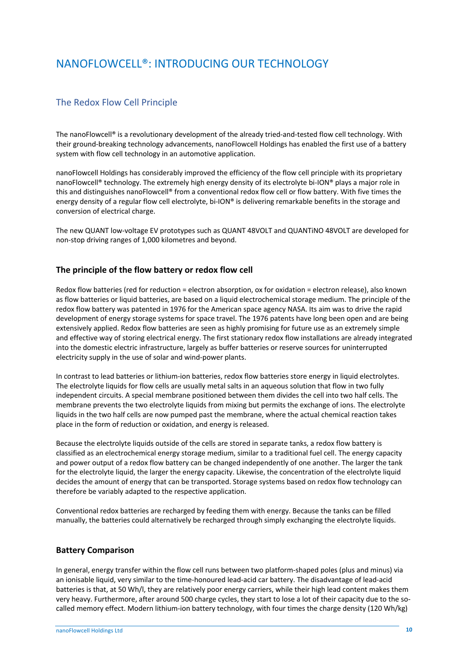# NANOFLOWCELL®: INTRODUCING OUR TECHNOLOGY

# The Redox Flow Cell Principle

The nanoFlowcell® is a revolutionary development of the already tried-and-tested flow cell technology. With their ground-breaking technology advancements, nanoFlowcell Holdings has enabled the first use of a battery system with flow cell technology in an automotive application.

nanoFlowcell Holdings has considerably improved the efficiency of the flow cell principle with its proprietary nanoFlowcell® technology. The extremely high energy density of its electrolyte bi-ION® plays a major role in this and distinguishes nanoFlowcell® from a conventional redox flow cell or flow battery. With five times the energy density of a regular flow cell electrolyte, bi-ION® is delivering remarkable benefits in the storage and conversion of electrical charge.

The new QUANT low-voltage EV prototypes such as QUANT 48VOLT and QUANTiNO 48VOLT are developed for non-stop driving ranges of 1,000 kilometres and beyond.

## **The principle of the flow battery or redox flow cell**

Redox flow batteries (red for reduction = electron absorption, ox for oxidation = electron release), also known as flow batteries or liquid batteries, are based on a liquid electrochemical storage medium. The principle of the redox flow battery was patented in 1976 for the American space agency NASA. Its aim was to drive the rapid development of energy storage systems for space travel. The 1976 patents have long been open and are being extensively applied. Redox flow batteries are seen as highly promising for future use as an extremely simple and effective way of storing electrical energy. The first stationary redox flow installations are already integrated into the domestic electric infrastructure, largely as buffer batteries or reserve sources for uninterrupted electricity supply in the use of solar and wind-power plants.

In contrast to lead batteries or lithium-ion batteries, redox flow batteries store energy in liquid electrolytes. The electrolyte liquids for flow cells are usually metal salts in an aqueous solution that flow in two fully independent circuits. A special membrane positioned between them divides the cell into two half cells. The membrane prevents the two electrolyte liquids from mixing but permits the exchange of ions. The electrolyte liquids in the two half cells are now pumped past the membrane, where the actual chemical reaction takes place in the form of reduction or oxidation, and energy is released.

Because the electrolyte liquids outside of the cells are stored in separate tanks, a redox flow battery is classified as an electrochemical energy storage medium, similar to a traditional fuel cell. The energy capacity and power output of a redox flow battery can be changed independently of one another. The larger the tank for the electrolyte liquid, the larger the energy capacity. Likewise, the concentration of the electrolyte liquid decides the amount of energy that can be transported. Storage systems based on redox flow technology can therefore be variably adapted to the respective application.

Conventional redox batteries are recharged by feeding them with energy. Because the tanks can be filled manually, the batteries could alternatively be recharged through simply exchanging the electrolyte liquids.

## **Battery Comparison**

In general, energy transfer within the flow cell runs between two platform-shaped poles (plus and minus) via an ionisable liquid, very similar to the time-honoured lead-acid car battery. The disadvantage of lead-acid batteries is that, at 50 Wh/l, they are relatively poor energy carriers, while their high lead content makes them very heavy. Furthermore, after around 500 charge cycles, they start to lose a lot of their capacity due to the socalled memory effect. Modern lithium-ion battery technology, with four times the charge density (120 Wh/kg)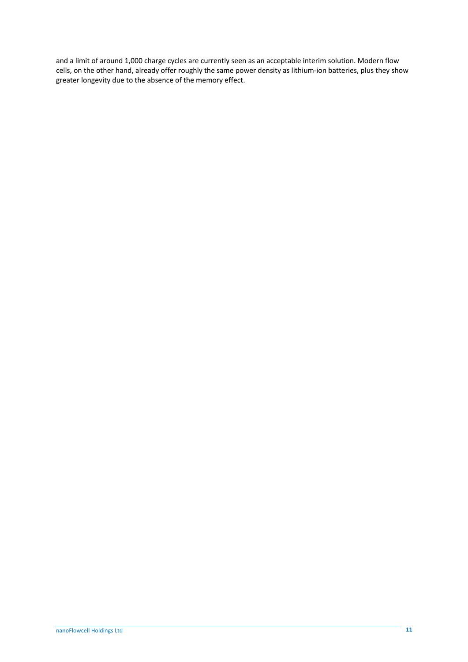and a limit of around 1,000 charge cycles are currently seen as an acceptable interim solution. Modern flow cells, on the other hand, already offer roughly the same power density as lithium-ion batteries, plus they show greater longevity due to the absence of the memory effect.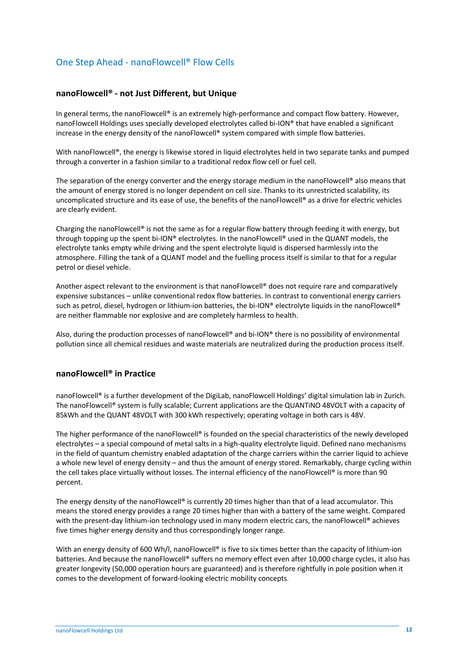# One Step Ahead - nanoFlowcell® Flow Cells

### **nanoFlowcell® - not Just Different, but Unique**

In general terms, the nanoFlowcell® is an extremely high-performance and compact flow battery. However, nanoFlowcell Holdings uses specially developed electrolytes called bi-ION® that have enabled a significant increase in the energy density of the nanoFlowcell® system compared with simple flow batteries.

With nanoFlowcell®, the energy is likewise stored in liquid electrolytes held in two separate tanks and pumped through a converter in a fashion similar to a traditional redox flow cell or fuel cell.

The separation of the energy converter and the energy storage medium in the nanoFlowcell® also means that the amount of energy stored is no longer dependent on cell size. Thanks to its unrestricted scalability, its uncomplicated structure and its ease of use, the benefits of the nanoFlowcell® as a drive for electric vehicles are clearly evident.

Charging the nanoFlowcell® is not the same as for a regular flow battery through feeding it with energy, but through topping up the spent bi-ION® electrolytes. In the nanoFlowcell® used in the QUANT models, the electrolyte tanks empty while driving and the spent electrolyte liquid is dispersed harmlessly into the atmosphere. Filling the tank of a QUANT model and the fuelling process itself is similar to that for a regular petrol or diesel vehicle.

Another aspect relevant to the environment is that nanoFlowcell® does not require rare and comparatively expensive substances – unlike conventional redox flow batteries. In contrast to conventional energy carriers such as petrol, diesel, hydrogen or lithium-ion batteries, the bi-ION® electrolyte liquids in the nanoFlowcell® are neither flammable nor explosive and are completely harmless to health.

Also, during the production processes of nanoFlowcell® and bi-ION® there is no possibility of environmental pollution since all chemical residues and waste materials are neutralized during the production process itself.

### **nanoFlowcell® in Practice**

nanoFlowcell® is a further development of the DigiLab, nanoFlowcell Holdings' digital simulation lab in Zurich. The nanoFlowcell® system is fully scalable; Current applications are the QUANTiNO 48VOLT with a capacity of 85kWh and the QUANT 48VOLT with 300 kWh respectively; operating voltage in both cars is 48V.

The higher performance of the nanoFlowcell® is founded on the special characteristics of the newly developed electrolytes – a special compound of metal salts in a high-quality electrolyte liquid. Defined nano mechanisms in the field of quantum chemistry enabled adaptation of the charge carriers within the carrier liquid to achieve a whole new level of energy density – and thus the amount of energy stored. Remarkably, charge cycling within the cell takes place virtually without losses. The internal efficiency of the nanoFlowcell® is more than 90 percent.

The energy density of the nanoFlowcell® is currently 20 times higher than that of a lead accumulator. This means the stored energy provides a range 20 times higher than with a battery of the same weight. Compared with the present-day lithium-ion technology used in many modern electric cars, the nanoFlowcell® achieves five times higher energy density and thus correspondingly longer range.

With an energy density of 600 Wh/l, nanoFlowcell<sup>®</sup> is five to six times better than the capacity of lithium-ion batteries. And because the nanoFlowcell® suffers no memory effect even after 10,000 charge cycles, it also has greater longevity (50,000 operation hours are guaranteed) and is therefore rightfully in pole position when it comes to the development of forward-looking electric mobility concepts.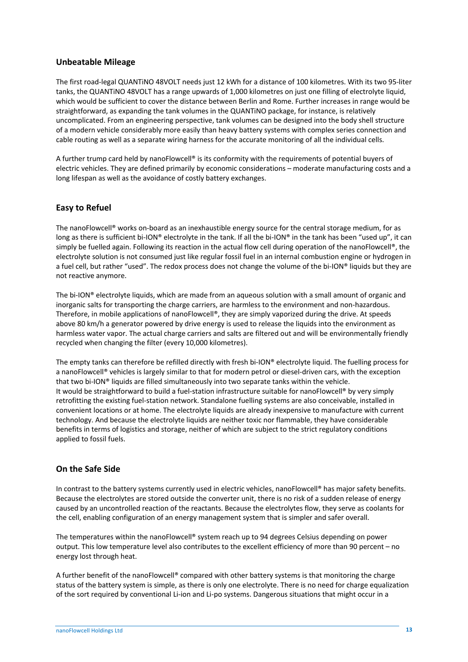## **Unbeatable Mileage**

The first road-legal QUANTiNO 48VOLT needs just 12 kWh for a distance of 100 kilometres. With its two 95-liter tanks, the QUANTiNO 48VOLT has a range upwards of 1,000 kilometres on just one filling of electrolyte liquid, which would be sufficient to cover the distance between Berlin and Rome. Further increases in range would be straightforward, as expanding the tank volumes in the QUANTiNO package, for instance, is relatively uncomplicated. From an engineering perspective, tank volumes can be designed into the body shell structure of a modern vehicle considerably more easily than heavy battery systems with complex series connection and cable routing as well as a separate wiring harness for the accurate monitoring of all the individual cells.

A further trump card held by nanoFlowcell® is its conformity with the requirements of potential buyers of electric vehicles. They are defined primarily by economic considerations – moderate manufacturing costs and a long lifespan as well as the avoidance of costly battery exchanges.

# **Easy to Refuel**

The nanoFlowcell® works on-board as an inexhaustible energy source for the central storage medium, for as long as there is sufficient bi-ION® electrolyte in the tank. If all the bi-ION® in the tank has been "used up", it can simply be fuelled again. Following its reaction in the actual flow cell during operation of the nanoFlowcell®, the electrolyte solution is not consumed just like regular fossil fuel in an internal combustion engine or hydrogen in a fuel cell, but rather "used". The redox process does not change the volume of the bi-ION® liquids but they are not reactive anymore.

The bi-ION® electrolyte liquids, which are made from an aqueous solution with a small amount of organic and inorganic salts for transporting the charge carriers, are harmless to the environment and non-hazardous. Therefore, in mobile applications of nanoFlowcell®, they are simply vaporized during the drive. At speeds above 80 km/h a generator powered by drive energy is used to release the liquids into the environment as harmless water vapor. The actual charge carriers and salts are filtered out and will be environmentally friendly recycled when changing the filter (every 10,000 kilometres).

The empty tanks can therefore be refilled directly with fresh bi-ION® electrolyte liquid. The fuelling process for a nanoFlowcell® vehicles is largely similar to that for modern petrol or diesel-driven cars, with the exception that two bi-ION® liquids are filled simultaneously into two separate tanks within the vehicle. It would be straightforward to build a fuel-station infrastructure suitable for nanoFlowcell® by very simply retrofitting the existing fuel-station network. Standalone fuelling systems are also conceivable, installed in convenient locations or at home. The electrolyte liquids are already inexpensive to manufacture with current technology. And because the electrolyte liquids are neither toxic nor flammable, they have considerable benefits in terms of logistics and storage, neither of which are subject to the strict regulatory conditions applied to fossil fuels.

# **On the Safe Side**

In contrast to the battery systems currently used in electric vehicles, nanoFlowcell® has major safety benefits. Because the electrolytes are stored outside the converter unit, there is no risk of a sudden release of energy caused by an uncontrolled reaction of the reactants. Because the electrolytes flow, they serve as coolants for the cell, enabling configuration of an energy management system that is simpler and safer overall.

The temperatures within the nanoFlowcell® system reach up to 94 degrees Celsius depending on power output. This low temperature level also contributes to the excellent efficiency of more than 90 percent – no energy lost through heat.

A further benefit of the nanoFlowcell® compared with other battery systems is that monitoring the charge status of the battery system is simple, as there is only one electrolyte. There is no need for charge equalization of the sort required by conventional Li-ion and Li-po systems. Dangerous situations that might occur in a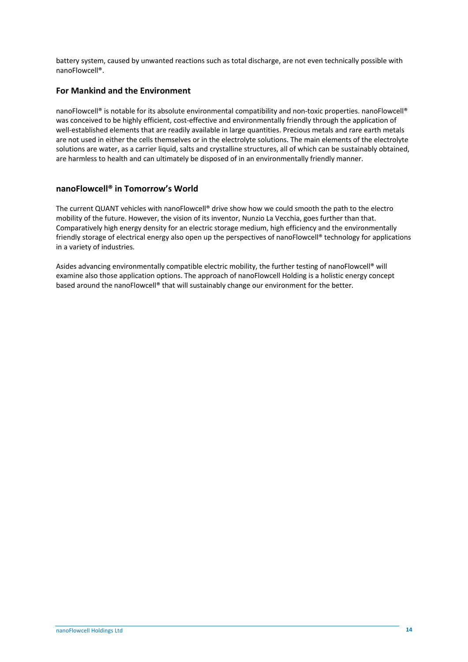battery system, caused by unwanted reactions such as total discharge, are not even technically possible with nanoFlowcell®.

## **For Mankind and the Environment**

nanoFlowcell® is notable for its absolute environmental compatibility and non-toxic properties. nanoFlowcell® was conceived to be highly efficient, cost-effective and environmentally friendly through the application of well-established elements that are readily available in large quantities. Precious metals and rare earth metals are not used in either the cells themselves or in the electrolyte solutions. The main elements of the electrolyte solutions are water, as a carrier liquid, salts and crystalline structures, all of which can be sustainably obtained, are harmless to health and can ultimately be disposed of in an environmentally friendly manner.

## **nanoFlowcell® in Tomorrow's World**

The current QUANT vehicles with nanoFlowcell® drive show how we could smooth the path to the electro mobility of the future. However, the vision of its inventor, Nunzio La Vecchia, goes further than that. Comparatively high energy density for an electric storage medium, high efficiency and the environmentally friendly storage of electrical energy also open up the perspectives of nanoFlowcell® technology for applications in a variety of industries.

Asides advancing environmentally compatible electric mobility, the further testing of nanoFlowcell® will examine also those application options. The approach of nanoFlowcell Holding is a holistic energy concept based around the nanoFlowcell® that will sustainably change our environment for the better.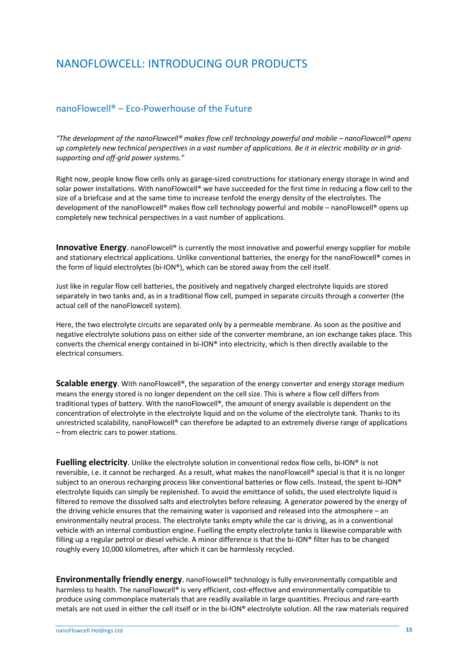# NANOFLOWCELL: INTRODUCING OUR PRODUCTS

# nanoFlowcell® – Eco-Powerhouse of the Future

*"The development of the nanoFlowcell® makes flow cell technology powerful and mobile – nanoFlowcell® opens up completely new technical perspectives in a vast number of applications. Be it in electric mobility or in gridsupporting and off-grid power systems."*

Right now, people know flow cells only as garage-sized constructions for stationary energy storage in wind and solar power installations. With nanoFlowcell® we have succeeded for the first time in reducing a flow cell to the size of a briefcase and at the same time to increase tenfold the energy density of the electrolytes. The development of the nanoFlowcell® makes flow cell technology powerful and mobile – nanoFlowcell® opens up completely new technical perspectives in a vast number of applications.

Innovative Energy. nanoFlowcell® is currently the most innovative and powerful energy supplier for mobile and stationary electrical applications. Unlike conventional batteries, the energy for the nanoFlowcell® comes in the form of liquid electrolytes (bi-ION®), which can be stored away from the cell itself.

Just like in regular flow cell batteries, the positively and negatively charged electrolyte liquids are stored separately in two tanks and, as in a traditional flow cell, pumped in separate circuits through a converter (the actual cell of the nanoFlowcell system).

Here, the two electrolyte circuits are separated only by a permeable membrane. As soon as the positive and negative electrolyte solutions pass on either side of the converter membrane, an ion exchange takes place. This converts the chemical energy contained in bi-ION® into electricity, which is then directly available to the electrical consumers.

**Scalable energy.** With nanoFlowcell®, the separation of the energy converter and energy storage medium means the energy stored is no longer dependent on the cell size. This is where a flow cell differs from traditional types of battery. With the nanoFlowcell®, the amount of energy available is dependent on the concentration of electrolyte in the electrolyte liquid and on the volume of the electrolyte tank. Thanks to its unrestricted scalability, nanoFlowcell® can therefore be adapted to an extremely diverse range of applications – from electric cars to power stations.

**Fuelling electricity**. Unlike the electrolyte solution in conventional redox flow cells, bi-ION® is not reversible, i.e. it cannot be recharged. As a result, what makes the nanoFlowcell® special is that it is no longer subject to an onerous recharging process like conventional batteries or flow cells. Instead, the spent bi-ION® electrolyte liquids can simply be replenished. To avoid the emittance of solids, the used electrolyte liquid is filtered to remove the dissolved salts and electrolytes before releasing. A generator powered by the energy of the driving vehicle ensures that the remaining water is vaporised and released into the atmosphere – an environmentally neutral process. The electrolyte tanks empty while the car is driving, as in a conventional vehicle with an internal combustion engine. Fuelling the empty electrolyte tanks is likewise comparable with filling up a regular petrol or diesel vehicle. A minor difference is that the bi-ION® filter has to be changed roughly every 10,000 kilometres, after which it can be harmlessly recycled.

**Environmentally friendly energy**. nanoFlowcell<sup>®</sup> technology is fully environmentally compatible and harmless to health. The nanoFlowcell® is very efficient, cost-effective and environmentally compatible to produce using commonplace materials that are readily available in large quantities. Precious and rare-earth metals are not used in either the cell itself or in the bi-ION® electrolyte solution. All the raw materials required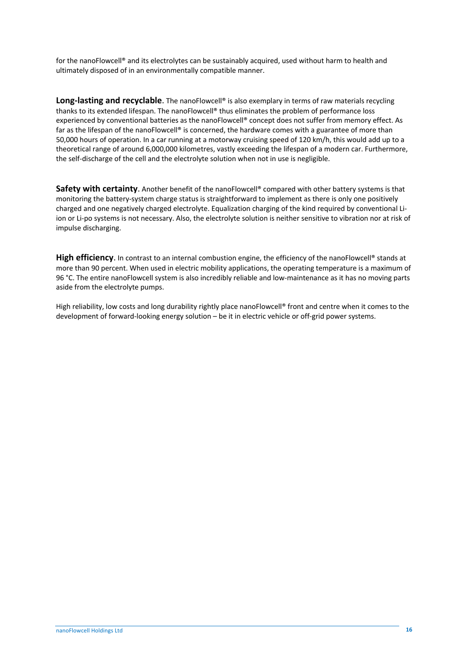for the nanoFlowcell® and its electrolytes can be sustainably acquired, used without harm to health and ultimately disposed of in an environmentally compatible manner.

Long-lasting and recyclable. The nanoFlowcell<sup>®</sup> is also exemplary in terms of raw materials recycling thanks to its extended lifespan. The nanoFlowcell® thus eliminates the problem of performance loss experienced by conventional batteries as the nanoFlowcell® concept does not suffer from memory effect. As far as the lifespan of the nanoFlowcell® is concerned, the hardware comes with a guarantee of more than 50,000 hours of operation. In a car running at a motorway cruising speed of 120 km/h, this would add up to a theoretical range of around 6,000,000 kilometres, vastly exceeding the lifespan of a modern car. Furthermore, the self-discharge of the cell and the electrolyte solution when not in use is negligible.

**Safety with certainty.** Another benefit of the nanoFlowcell® compared with other battery systems is that monitoring the battery-system charge status is straightforward to implement as there is only one positively charged and one negatively charged electrolyte. Equalization charging of the kind required by conventional Liion or Li-po systems is not necessary. Also, the electrolyte solution is neither sensitive to vibration nor at risk of impulse discharging.

**High efficiency.** In contrast to an internal combustion engine, the efficiency of the nanoFlowcell<sup>®</sup> stands at more than 90 percent. When used in electric mobility applications, the operating temperature is a maximum of 96 °C. The entire nanoFlowcell system is also incredibly reliable and low-maintenance as it has no moving parts aside from the electrolyte pumps.

High reliability, low costs and long durability rightly place nanoFlowcell® front and centre when it comes to the development of forward-looking energy solution – be it in electric vehicle or off-grid power systems.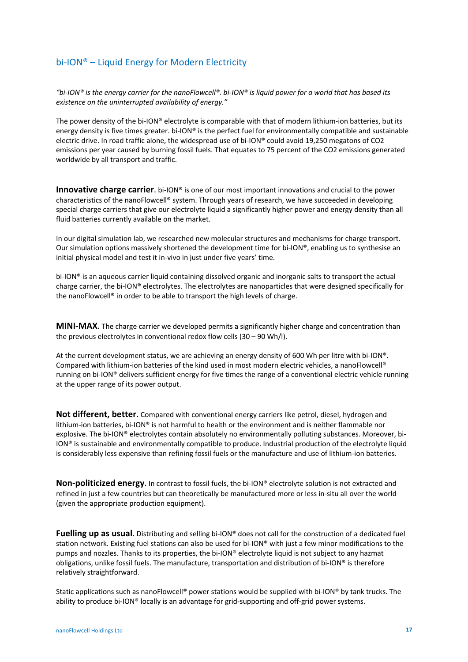# bi-ION® – Liquid Energy for Modern Electricity

*"bi-ION® is the energy carrier for the nanoFlowcell®. bi-ION® is liquid power for a world that has based its existence on the uninterrupted availability of energy."*

The power density of the bi-ION® electrolyte is comparable with that of modern lithium-ion batteries, but its energy density is five times greater. bi-ION® is the perfect fuel for environmentally compatible and sustainable electric drive. In road traffic alone, the widespread use of bi-ION® could avoid 19,250 megatons of CO2 emissions per year caused by burning fossil fuels. That equates to 75 percent of the CO2 emissions generated worldwide by all transport and traffic.

**Innovative charge carrier**. bi-ION® is one of our most important innovations and crucial to the power characteristics of the nanoFlowcell® system. Through years of research, we have succeeded in developing special charge carriers that give our electrolyte liquid a significantly higher power and energy density than all fluid batteries currently available on the market.

In our digital simulation lab, we researched new molecular structures and mechanisms for charge transport. Our simulation options massively shortened the development time for bi-ION®, enabling us to synthesise an initial physical model and test it in-vivo in just under five years' time.

bi-ION® is an aqueous carrier liquid containing dissolved organic and inorganic salts to transport the actual charge carrier, the bi-ION® electrolytes. The electrolytes are nanoparticles that were designed specifically for the nanoFlowcell® in order to be able to transport the high levels of charge.

**MINI-MAX**. The charge carrier we developed permits a significantly higher charge and concentration than the previous electrolytes in conventional redox flow cells (30 – 90 Wh/l).

At the current development status, we are achieving an energy density of 600 Wh per litre with bi-ION®. Compared with lithium-ion batteries of the kind used in most modern electric vehicles, a nanoFlowcell® running on bi-ION® delivers sufficient energy for five times the range of a conventional electric vehicle running at the upper range of its power output.

**Not different, better.** Compared with conventional energy carriers like petrol, diesel, hydrogen and lithium-ion batteries, bi-ION® is not harmful to health or the environment and is neither flammable nor explosive. The bi-ION® electrolytes contain absolutely no environmentally polluting substances. Moreover, bi-ION® is sustainable and environmentally compatible to produce. Industrial production of the electrolyte liquid is considerably less expensive than refining fossil fuels or the manufacture and use of lithium-ion batteries.

**Non-politicized energy**. In contrast to fossil fuels, the bi-ION® electrolyte solution is not extracted and refined in just a few countries but can theoretically be manufactured more or less in-situ all over the world (given the appropriate production equipment).

**Fuelling up as usual**. Distributing and selling bi-ION® does not call for the construction of a dedicated fuel station network. Existing fuel stations can also be used for bi-ION® with just a few minor modifications to the pumps and nozzles. Thanks to its properties, the bi-ION® electrolyte liquid is not subject to any hazmat obligations, unlike fossil fuels. The manufacture, transportation and distribution of bi-ION® is therefore relatively straightforward.

Static applications such as nanoFlowcell® power stations would be supplied with bi-ION® by tank trucks. The ability to produce bi-ION® locally is an advantage for grid-supporting and off-grid power systems.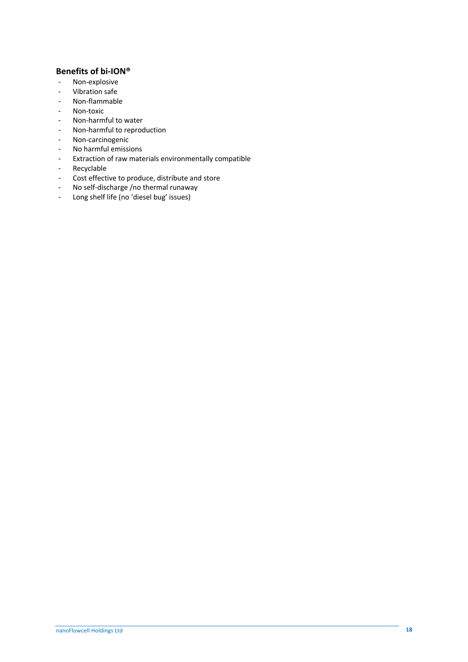## **Benefits of bi-ION®**

- Non-explosive
- Vibration safe
- Non-flammable
- Non-toxic
- Non-harmful to water
- Non-harmful to reproduction
- Non-carcinogenic
- No harmful emissions
- Extraction of raw materials environmentally compatible
- Recyclable
- Cost effective to produce, distribute and store
- No self-discharge /no thermal runaway
- Long shelf life (no 'diesel bug' issues)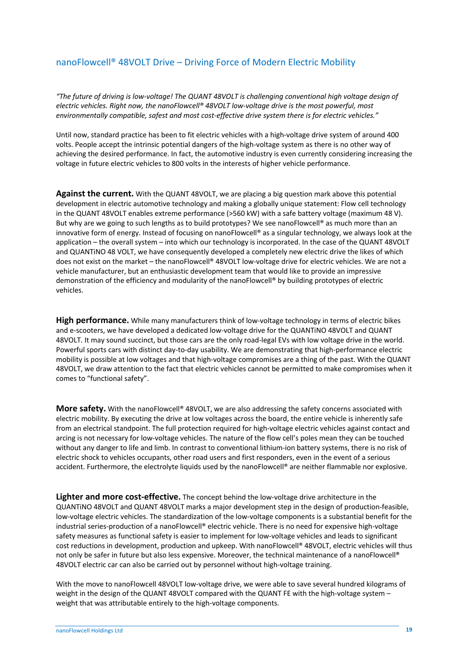# nanoFlowcell® 48VOLT Drive – Driving Force of Modern Electric Mobility

*"The future of driving is low-voltage! The QUANT 48VOLT is challenging conventional high voltage design of electric vehicles. Right now, the nanoFlowcell® 48VOLT low-voltage drive is the most powerful, most environmentally compatible, safest and most cost-effective drive system there is for electric vehicles."*

Until now, standard practice has been to fit electric vehicles with a high-voltage drive system of around 400 volts. People accept the intrinsic potential dangers of the high-voltage system as there is no other way of achieving the desired performance. In fact, the automotive industry is even currently considering increasing the voltage in future electric vehicles to 800 volts in the interests of higher vehicle performance.

**Against the current.** With the QUANT 48VOLT, we are placing a big question mark above this potential development in electric automotive technology and making a globally unique statement: Flow cell technology in the QUANT 48VOLT enables extreme performance (>560 kW) with a safe battery voltage (maximum 48 V). But why are we going to such lengths as to build prototypes? We see nanoFlowcell® as much more than an innovative form of energy. Instead of focusing on nanoFlowcell® as a singular technology, we always look at the application – the overall system – into which our technology is incorporated. In the case of the QUANT 48VOLT and QUANTiNO 48 VOLT, we have consequently developed a completely new electric drive the likes of which does not exist on the market – the nanoFlowcell® 48VOLT low-voltage drive for electric vehicles. We are not a vehicle manufacturer, but an enthusiastic development team that would like to provide an impressive demonstration of the efficiency and modularity of the nanoFlowcell® by building prototypes of electric vehicles.

**High performance.** While many manufacturers think of low-voltage technology in terms of electric bikes and e-scooters, we have developed a dedicated low-voltage drive for the QUANTiNO 48VOLT and QUANT 48VOLT. It may sound succinct, but those cars are the only road-legal EVs with low voltage drive in the world. Powerful sports cars with distinct day-to-day usability. We are demonstrating that high-performance electric mobility is possible at low voltages and that high-voltage compromises are a thing of the past. With the QUANT 48VOLT, we draw attention to the fact that electric vehicles cannot be permitted to make compromises when it comes to "functional safety".

**More safety.** With the nanoFlowcell® 48VOLT, we are also addressing the safety concerns associated with electric mobility. By executing the drive at low voltages across the board, the entire vehicle is inherently safe from an electrical standpoint. The full protection required for high-voltage electric vehicles against contact and arcing is not necessary for low-voltage vehicles. The nature of the flow cell's poles mean they can be touched without any danger to life and limb. In contrast to conventional lithium-ion battery systems, there is no risk of electric shock to vehicles occupants, other road users and first responders, even in the event of a serious accident. Furthermore, the electrolyte liquids used by the nanoFlowcell® are neither flammable nor explosive.

**Lighter and more cost-effective.** The concept behind the low-voltage drive architecture in the QUANTiNO 48VOLT and QUANT 48VOLT marks a major development step in the design of production-feasible, low-voltage electric vehicles. The standardization of the low-voltage components is a substantial benefit for the industrial series-production of a nanoFlowcell® electric vehicle. There is no need for expensive high-voltage safety measures as functional safety is easier to implement for low-voltage vehicles and leads to significant cost reductions in development, production and upkeep. With nanoFlowcell® 48VOLT, electric vehicles will thus not only be safer in future but also less expensive. Moreover, the technical maintenance of a nanoFlowcell® 48VOLT electric car can also be carried out by personnel without high-voltage training.

With the move to nanoFlowcell 48VOLT low-voltage drive, we were able to save several hundred kilograms of weight in the design of the QUANT 48VOLT compared with the QUANT FE with the high-voltage system – weight that was attributable entirely to the high-voltage components.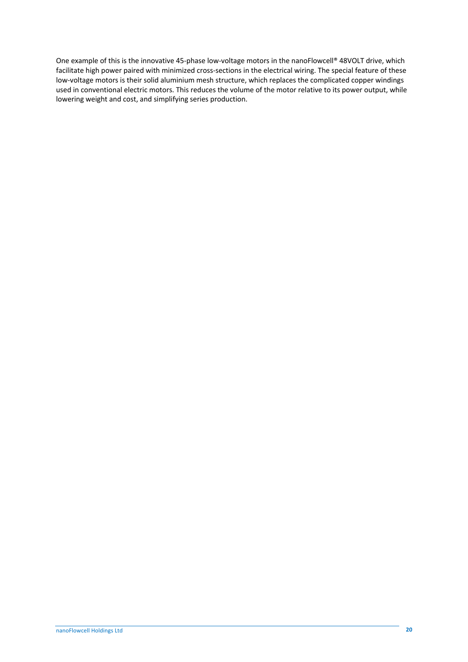One example of this is the innovative 45-phase low-voltage motors in the nanoFlowcell® 48VOLT drive, which facilitate high power paired with minimized cross-sections in the electrical wiring. The special feature of these low-voltage motors is their solid aluminium mesh structure, which replaces the complicated copper windings used in conventional electric motors. This reduces the volume of the motor relative to its power output, while lowering weight and cost, and simplifying series production.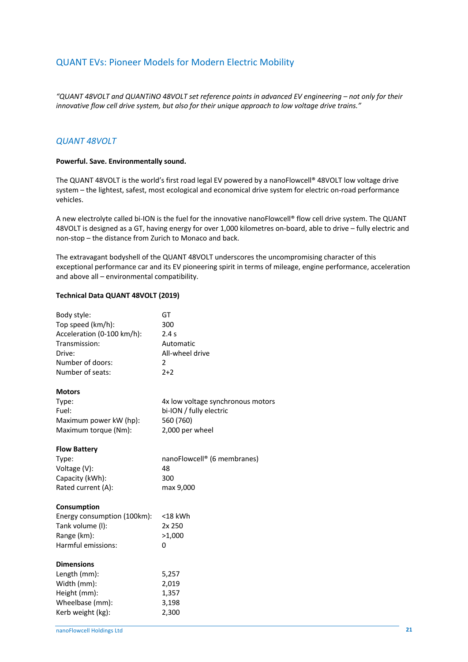# QUANT EVs: Pioneer Models for Modern Electric Mobility

*"QUANT 48VOLT and QUANTiNO 48VOLT set reference points in advanced EV engineering – not only for their innovative flow cell drive system, but also for their unique approach to low voltage drive trains."* 

## *QUANT 48VOLT*

#### **Powerful. Save. Environmentally sound.**

The QUANT 48VOLT is the world's first road legal EV powered by a nanoFlowcell® 48VOLT low voltage drive system – the lightest, safest, most ecological and economical drive system for electric on-road performance vehicles.

A new electrolyte called bi-ION is the fuel for the innovative nanoFlowcell® flow cell drive system. The QUANT 48VOLT is designed as a GT, having energy for over 1,000 kilometres on-board, able to drive – fully electric and non-stop – the distance from Zurich to Monaco and back.

The extravagant bodyshell of the QUANT 48VOLT underscores the uncompromising character of this exceptional performance car and its EV pioneering spirit in terms of mileage, engine performance, acceleration and above all – environmental compatibility.

#### **Technical Data QUANT 48VOLT (2019)**

| Body style:                 | GT                                |
|-----------------------------|-----------------------------------|
| Top speed (km/h):           | 300                               |
| Acceleration (0-100 km/h):  | 2.4s                              |
| Transmission:               | Automatic                         |
| Drive:                      | All-wheel drive                   |
| Number of doors:            | 2                                 |
| Number of seats:            | $2+2$                             |
| <b>Motors</b>               |                                   |
| Type:                       | 4x low voltage synchronous motors |
| Fuel:                       | bi-ION / fully electric           |
| Maximum power kW (hp):      | 560 (760)                         |
| Maximum torque (Nm):        | 2,000 per wheel                   |
| <b>Flow Battery</b>         |                                   |
| Type:                       | nanoFlowcell® (6 membranes)       |
| Voltage (V):                | 48                                |
| Capacity (kWh):             | 300                               |
| Rated current (A):          | max 9,000                         |
| Consumption                 |                                   |
| Energy consumption (100km): | $<$ 18 kWh                        |
| Tank volume (I):            | 2x 250                            |
| Range (km):                 | >1,000                            |
| Harmful emissions:          | 0                                 |
| <b>Dimensions</b>           |                                   |
| Length (mm):                | 5,257                             |
| Width (mm):                 | 2,019                             |
| Height (mm):                | 1,357                             |
| Wheelbase (mm):             | 3,198                             |
| Kerb weight (kg):           | 2,300                             |
|                             |                                   |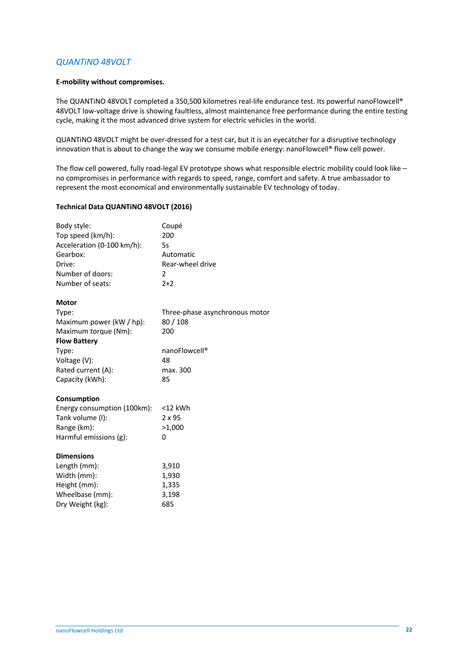## *QUANTiNO 48VOLT*

#### **E-mobility without compromises.**

The QUANTiNO 48VOLT completed a 350,500 kilometres real-life endurance test. Its powerful nanoFlowcell® 48VOLT low-voltage drive is showing faultless, almost maintenance free performance during the entire testing cycle, making it the most advanced drive system for electric vehicles in the world.

QUANTiNO 48VOLT might be over-dressed for a test car, but it is an eyecatcher for a disruptive technology innovation that is about to change the way we consume mobile energy: nanoFlowcell® flow cell power.

The flow cell powered, fully road-legal EV prototype shows what responsible electric mobility could look like – no compromises in performance with regards to speed, range, comfort and safety. A true ambassador to represent the most economical and environmentally sustainable EV technology of today.

### **Technical Data QUANTiNO 48VOLT (2016)**

| Body style:                 | Coupé                          |
|-----------------------------|--------------------------------|
| Top speed (km/h):           | 200                            |
| Acceleration (0-100 km/h):  | 5s                             |
| Gearbox:                    | Automatic                      |
| Drive:                      | Rear-wheel drive               |
| Number of doors:            | 2                              |
| Number of seats:            | $2+2$                          |
| <b>Motor</b>                |                                |
| Type:                       | Three-phase asynchronous motor |
| Maximum power (kW / hp):    | 80/108                         |
| Maximum torque (Nm):        | 200                            |
| <b>Flow Battery</b>         |                                |
| Type:                       | nanoFlowcell®                  |
| Voltage (V):                | 48                             |
| Rated current (A):          | max. 300                       |
| Capacity (kWh):             | 85                             |
| Consumption                 |                                |
| Energy consumption (100km): | $<$ 12 kWh                     |
| Tank volume (I):            | 2 x 95                         |
| Range (km):                 | >1,000                         |
| Harmful emissions (g):      | 0                              |
| <b>Dimensions</b>           |                                |
| Length (mm):                | 3,910                          |
| Width (mm):                 | 1,930                          |
| Height (mm):                | 1,335                          |
| Wheelbase (mm):             | 3,198                          |
| Dry Weight (kg):            | 685                            |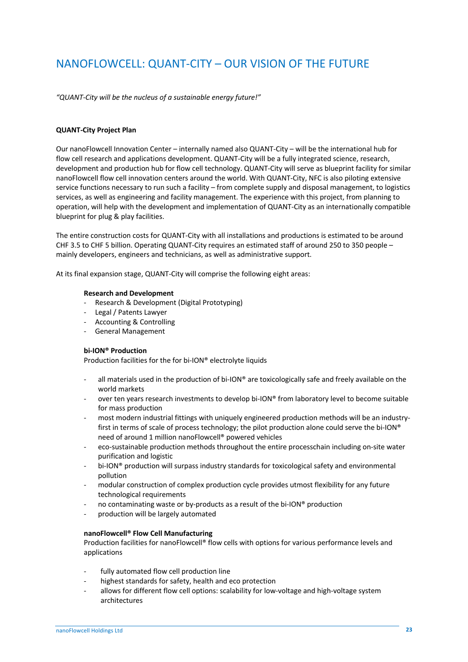# NANOFLOWCELL: QUANT-CITY – OUR VISION OF THE FUTURE

*"QUANT-City will be the nucleus of a sustainable energy future!"*

#### **QUANT-City Project Plan**

Our nanoFlowcell Innovation Center – internally named also QUANT-City – will be the international hub for flow cell research and applications development. QUANT-City will be a fully integrated science, research, development and production hub for flow cell technology. QUANT-City will serve as blueprint facility for similar nanoFlowcell flow cell innovation centers around the world. With QUANT-City, NFC is also piloting extensive service functions necessary to run such a facility – from complete supply and disposal management, to logistics services, as well as engineering and facility management. The experience with this project, from planning to operation, will help with the development and implementation of QUANT-City as an internationally compatible blueprint for plug & play facilities.

The entire construction costs for QUANT-City with all installations and productions is estimated to be around CHF 3.5 to CHF 5 billion. Operating QUANT-City requires an estimated staff of around 250 to 350 people – mainly developers, engineers and technicians, as well as administrative support.

At its final expansion stage, QUANT-City will comprise the following eight areas:

#### **Research and Development**

- Research & Development (Digital Prototyping)
- Legal / Patents Lawyer
- Accounting & Controlling
- General Management

#### **bi-ION® Production**

Production facilities for the for bi-ION® electrolyte liquids

- all materials used in the production of bi-ION® are toxicologically safe and freely available on the world markets
- over ten years research investments to develop bi-ION® from laboratory level to become suitable for mass production
- most modern industrial fittings with uniquely engineered production methods will be an industryfirst in terms of scale of process technology; the pilot production alone could serve the bi-ION® need of around 1 million nanoFlowcell® powered vehicles
- eco-sustainable production methods throughout the entire processchain including on-site water purification and logistic
- bi-ION® production will surpass industry standards for toxicological safety and environmental pollution
- modular construction of complex production cycle provides utmost flexibility for any future technological requirements
- no contaminating waste or by-products as a result of the bi-ION® production
- production will be largely automated

#### **nanoFlowcell® Flow Cell Manufacturing**

Production facilities for nanoFlowcell® flow cells with options for various performance levels and applications

- fully automated flow cell production line
- highest standards for safety, health and eco protection
- allows for different flow cell options: scalability for low-voltage and high-voltage system architectures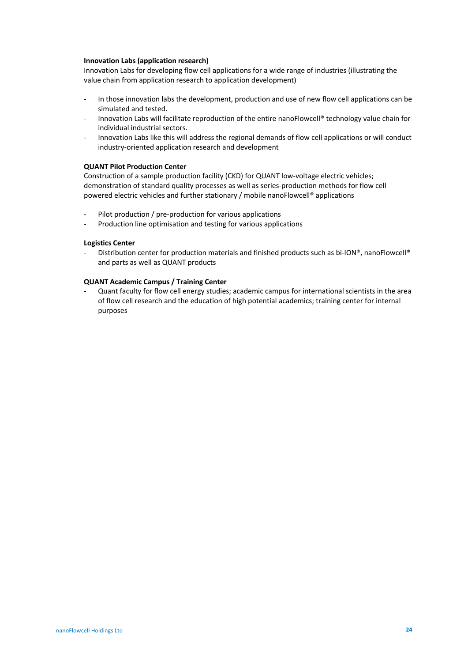#### **Innovation Labs (application research)**

Innovation Labs for developing flow cell applications for a wide range of industries (illustrating the value chain from application research to application development)

- In those innovation labs the development, production and use of new flow cell applications can be simulated and tested.
- Innovation Labs will facilitate reproduction of the entire nanoFlowcell® technology value chain for individual industrial sectors.
- Innovation Labs like this will address the regional demands of flow cell applications or will conduct industry-oriented application research and development

#### **QUANT Pilot Production Center**

Construction of a sample production facility (CKD) for QUANT low-voltage electric vehicles; demonstration of standard quality processes as well as series-production methods for flow cell powered electric vehicles and further stationary / mobile nanoFlowcell® applications

- Pilot production / pre-production for various applications
- Production line optimisation and testing for various applications

#### **Logistics Center**

Distribution center for production materials and finished products such as bi-ION®, nanoFlowcell® and parts as well as QUANT products

#### **QUANT Academic Campus / Training Center**

Quant faculty for flow cell energy studies; academic campus for international scientists in the area of flow cell research and the education of high potential academics; training center for internal purposes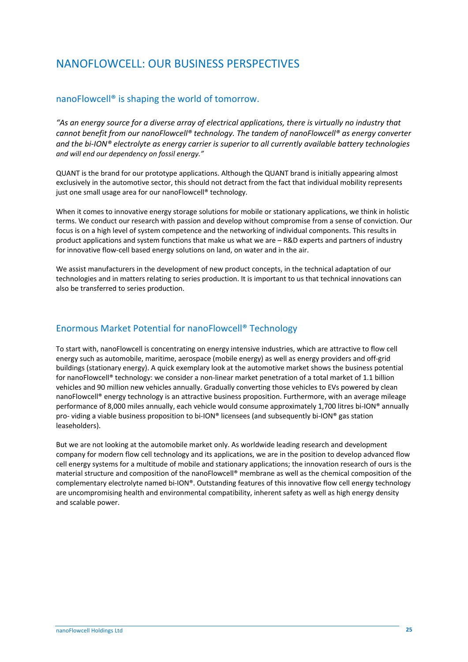# NANOFLOWCELL: OUR BUSINESS PERSPECTIVES

# nanoFlowcell® is shaping the world of tomorrow.

*"As an energy source for a diverse array of electrical applications, there is virtually no industry that cannot benefit from our nanoFlowcell® technology. The tandem of nanoFlowcell® as energy converter and the bi-ION® electrolyte as energy carrier is superior to all currently available battery technologies and will end our dependency on fossil energy."*

QUANT is the brand for our prototype applications. Although the QUANT brand is initially appearing almost exclusively in the automotive sector, this should not detract from the fact that individual mobility represents just one small usage area for our nanoFlowcell® technology.

When it comes to innovative energy storage solutions for mobile or stationary applications, we think in holistic terms. We conduct our research with passion and develop without compromise from a sense of conviction. Our focus is on a high level of system competence and the networking of individual components. This results in product applications and system functions that make us what we are – R&D experts and partners of industry for innovative flow-cell based energy solutions on land, on water and in the air.

We assist manufacturers in the development of new product concepts, in the technical adaptation of our technologies and in matters relating to series production. It is important to us that technical innovations can also be transferred to series production.

# Enormous Market Potential for nanoFlowcell® Technology

To start with, nanoFlowcell is concentrating on energy intensive industries, which are attractive to flow cell energy such as automobile, maritime, aerospace (mobile energy) as well as energy providers and off-grid buildings (stationary energy). A quick exemplary look at the automotive market shows the business potential for nanoFlowcell® technology: we consider a non-linear market penetration of a total market of 1.1 billion vehicles and 90 million new vehicles annually. Gradually converting those vehicles to EVs powered by clean nanoFlowcell® energy technology is an attractive business proposition. Furthermore, with an average mileage performance of 8,000 miles annually, each vehicle would consume approximately 1,700 litres bi-ION® annually pro- viding a viable business proposition to bi-ION® licensees (and subsequently bi-ION® gas station leaseholders).

But we are not looking at the automobile market only. As worldwide leading research and development company for modern flow cell technology and its applications, we are in the position to develop advanced flow cell energy systems for a multitude of mobile and stationary applications; the innovation research of ours is the material structure and composition of the nanoFlowcell® membrane as well as the chemical composition of the complementary electrolyte named bi-ION®. Outstanding features of this innovative flow cell energy technology are uncompromising health and environmental compatibility, inherent safety as well as high energy density and scalable power.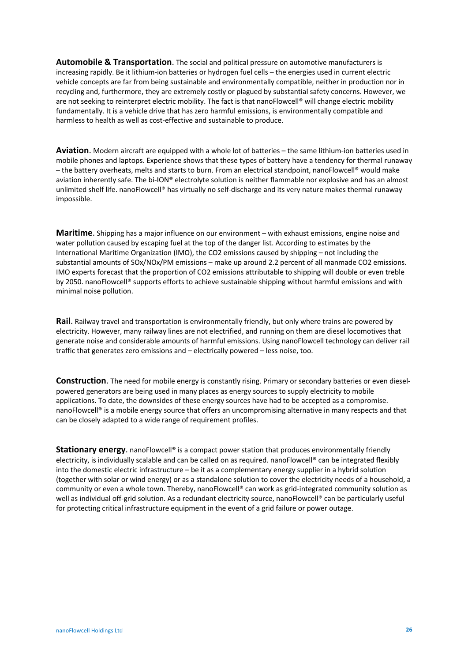**Automobile & Transportation**. The social and political pressure on automotive manufacturers is increasing rapidly. Be it lithium-ion batteries or hydrogen fuel cells – the energies used in current electric vehicle concepts are far from being sustainable and environmentally compatible, neither in production nor in recycling and, furthermore, they are extremely costly or plagued by substantial safety concerns. However, we are not seeking to reinterpret electric mobility. The fact is that nanoFlowcell® will change electric mobility fundamentally. It is a vehicle drive that has zero harmful emissions, is environmentally compatible and harmless to health as well as cost-effective and sustainable to produce.

**Aviation**. Modern aircraft are equipped with a whole lot of batteries – the same lithium-ion batteries used in mobile phones and laptops. Experience shows that these types of battery have a tendency for thermal runaway – the battery overheats, melts and starts to burn. From an electrical standpoint, nanoFlowcell® would make aviation inherently safe. The bi-ION® electrolyte solution is neither flammable nor explosive and has an almost unlimited shelf life. nanoFlowcell® has virtually no self-discharge and its very nature makes thermal runaway impossible.

**Maritime**. Shipping has a major influence on our environment – with exhaust emissions, engine noise and water pollution caused by escaping fuel at the top of the danger list. According to estimates by the International Maritime Organization (IMO), the CO2 emissions caused by shipping – not including the substantial amounts of SOx/NOx/PM emissions – make up around 2.2 percent of all manmade CO2 emissions. IMO experts forecast that the proportion of CO2 emissions attributable to shipping will double or even treble by 2050. nanoFlowcell® supports efforts to achieve sustainable shipping without harmful emissions and with minimal noise pollution.

**Rail**. Railway travel and transportation is environmentally friendly, but only where trains are powered by electricity. However, many railway lines are not electrified, and running on them are diesel locomotives that generate noise and considerable amounts of harmful emissions. Using nanoFlowcell technology can deliver rail traffic that generates zero emissions and – electrically powered – less noise, too.

**Construction**. The need for mobile energy is constantly rising. Primary or secondary batteries or even dieselpowered generators are being used in many places as energy sources to supply electricity to mobile applications. To date, the downsides of these energy sources have had to be accepted as a compromise. nanoFlowcell® is a mobile energy source that offers an uncompromising alternative in many respects and that can be closely adapted to a wide range of requirement profiles.

**Stationary energy**. nanoFlowcell® is a compact power station that produces environmentally friendly electricity, is individually scalable and can be called on as required. nanoFlowcell® can be integrated flexibly into the domestic electric infrastructure – be it as a complementary energy supplier in a hybrid solution (together with solar or wind energy) or as a standalone solution to cover the electricity needs of a household, a community or even a whole town. Thereby, nanoFlowcell® can work as grid-integrated community solution as well as individual off-grid solution. As a redundant electricity source, nanoFlowcell® can be particularly useful for protecting critical infrastructure equipment in the event of a grid failure or power outage.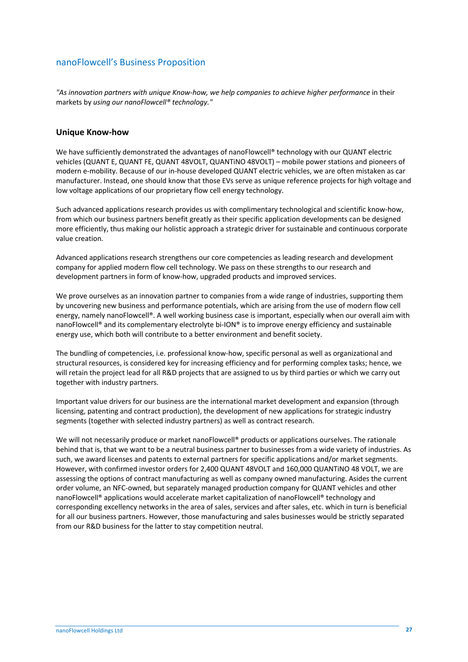# nanoFlowcell's Business Proposition

*"As innovation partners with unique Know-how, we help companies to achieve higher performance* in their markets by *using our nanoFlowcell® technology."* 

#### **Unique Know-how**

We have sufficiently demonstrated the advantages of nanoFlowcell® technology with our QUANT electric vehicles (QUANT E, QUANT FE, QUANT 48VOLT, QUANTiNO 48VOLT) – mobile power stations and pioneers of modern e-mobility. Because of our in-house developed QUANT electric vehicles, we are often mistaken as car manufacturer. Instead, one should know that those EVs serve as unique reference projects for high voltage and low voltage applications of our proprietary flow cell energy technology.

Such advanced applications research provides us with complimentary technological and scientific know-how, from which our business partners benefit greatly as their specific application developments can be designed more efficiently, thus making our holistic approach a strategic driver for sustainable and continuous corporate value creation.

Advanced applications research strengthens our core competencies as leading research and development company for applied modern flow cell technology. We pass on these strengths to our research and development partners in form of know-how, upgraded products and improved services.

We prove ourselves as an innovation partner to companies from a wide range of industries, supporting them by uncovering new business and performance potentials, which are arising from the use of modern flow cell energy, namely nanoFlowcell®. A well working business case is important, especially when our overall aim with nanoFlowcell® and its complementary electrolyte bi-ION® is to improve energy efficiency and sustainable energy use, which both will contribute to a better environment and benefit society.

The bundling of competencies, i.e. professional know-how, specific personal as well as organizational and structural resources, is considered key for increasing efficiency and for performing complex tasks; hence, we will retain the project lead for all R&D projects that are assigned to us by third parties or which we carry out together with industry partners.

Important value drivers for our business are the international market development and expansion (through licensing, patenting and contract production), the development of new applications for strategic industry segments (together with selected industry partners) as well as contract research.

We will not necessarily produce or market nanoFlowcell® products or applications ourselves. The rationale behind that is, that we want to be a neutral business partner to businesses from a wide variety of industries. As such, we award licenses and patents to external partners for specific applications and/or market segments. However, with confirmed investor orders for 2,400 QUANT 48VOLT and 160,000 QUANTiNO 48 VOLT, we are assessing the options of contract manufacturing as well as company owned manufacturing. Asides the current order volume, an NFC-owned, but separately managed production company for QUANT vehicles and other nanoFlowcell® applications would accelerate market capitalization of nanoFlowcell® technology and corresponding excellency networks in the area of sales, services and after sales, etc. which in turn is beneficial for all our business partners. However, those manufacturing and sales businesses would be strictly separated from our R&D business for the latter to stay competition neutral.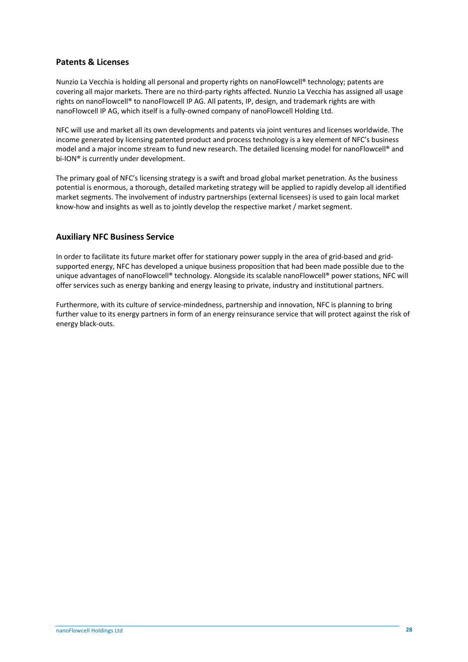## **Patents & Licenses**

Nunzio La Vecchia is holding all personal and property rights on nanoFlowcell® technology; patents are covering all major markets. There are no third-party rights affected. Nunzio La Vecchia has assigned all usage rights on nanoFlowcell® to nanoFlowcell IP AG. All patents, IP, design, and trademark rights are with nanoFlowcell IP AG, which itself is a fully-owned company of nanoFlowcell Holding Ltd.

NFC will use and market all its own developments and patents via joint ventures and licenses worldwide. The income generated by licensing patented product and process technology is a key element of NFC's business model and a major income stream to fund new research. The detailed licensing model for nanoFlowcell® and bi-ION® is currently under development.

The primary goal of NFC's licensing strategy is a swift and broad global market penetration. As the business potential is enormous, a thorough, detailed marketing strategy will be applied to rapidly develop all identified market segments. The involvement of industry partnerships (external licensees) is used to gain local market know-how and insights as well as to jointly develop the respective market / market segment.

## **Auxiliary NFC Business Service**

In order to facilitate its future market offer for stationary power supply in the area of grid-based and gridsupported energy, NFC has developed a unique business proposition that had been made possible due to the unique advantages of nanoFlowcell® technology. Alongside its scalable nanoFlowcell® power stations, NFC will offer services such as energy banking and energy leasing to private, industry and institutional partners.

Furthermore, with its culture of service-mindedness, partnership and innovation, NFC is planning to bring further value to its energy partners in form of an energy reinsurance service that will protect against the risk of energy black-outs.